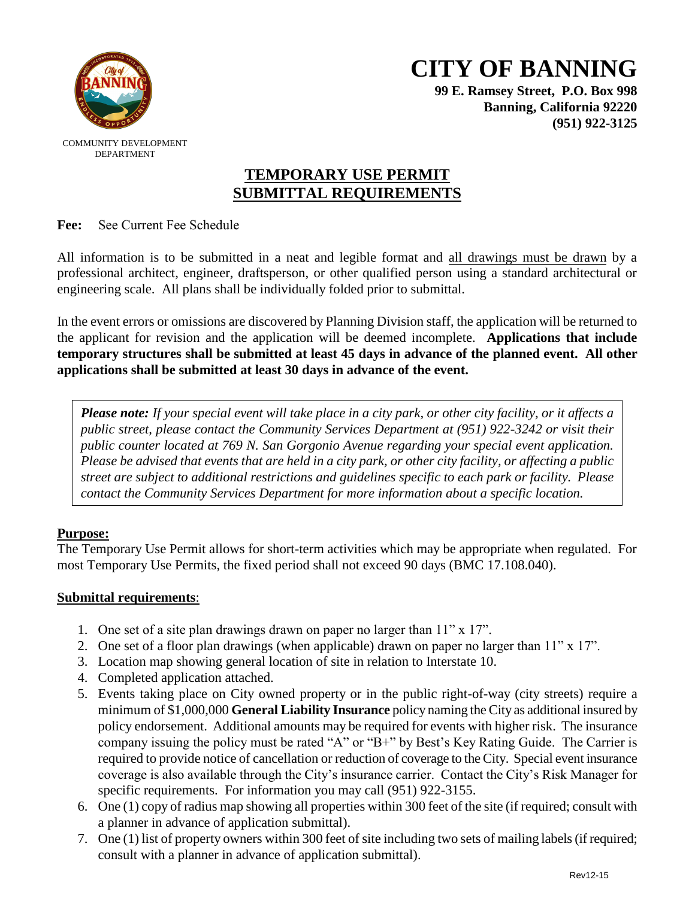

**99 E. Ramsey Street, P.O. Box 998 Banning, California 92220 (951) 922-3125**

COMMUNITY DEVELOPMENT DEPARTMENT

# **TEMPORARY USE PERMIT SUBMITTAL REQUIREMENTS**

**Fee:** See Current Fee Schedule

All information is to be submitted in a neat and legible format and all drawings must be drawn by a professional architect, engineer, draftsperson, or other qualified person using a standard architectural or engineering scale. All plans shall be individually folded prior to submittal.

In the event errors or omissions are discovered by Planning Division staff, the application will be returned to the applicant for revision and the application will be deemed incomplete. **Applications that include temporary structures shall be submitted at least 45 days in advance of the planned event. All other applications shall be submitted at least 30 days in advance of the event.** 

*Please note: If your special event will take place in a city park, or other city facility, or it affects a public street, please contact the Community Services Department at (951) 922-3242 or visit their public counter located at 769 N. San Gorgonio Avenue regarding your special event application. Please be advised that events that are held in a city park, or other city facility, or affecting a public street are subject to additional restrictions and guidelines specific to each park or facility. Please contact the Community Services Department for more information about a specific location.*

## **Purpose:**

The Temporary Use Permit allows for short-term activities which may be appropriate when regulated. For most Temporary Use Permits, the fixed period shall not exceed 90 days (BMC 17.108.040).

## **Submittal requirements**:

- 1. One set of a site plan drawings drawn on paper no larger than 11" x 17".
- 2. One set of a floor plan drawings (when applicable) drawn on paper no larger than 11" x 17".
- 3. Location map showing general location of site in relation to Interstate 10.
- 4. Completed application attached.
- 5. Events taking place on City owned property or in the public right-of-way (city streets) require a minimum of \$1,000,000 **General Liability Insurance** policy naming the City as additional insured by policy endorsement. Additional amounts may be required for events with higher risk. The insurance company issuing the policy must be rated "A" or "B+" by Best's Key Rating Guide. The Carrier is required to provide notice of cancellation or reduction of coverage to the City. Special event insurance coverage is also available through the City's insurance carrier. Contact the City's Risk Manager for specific requirements. For information you may call (951) 922-3155.
- 6. One (1) copy of radius map showing all properties within 300 feet of the site (if required; consult with a planner in advance of application submittal).
- 7. One (1) list of property owners within 300 feet of site including two sets of mailing labels (if required; consult with a planner in advance of application submittal).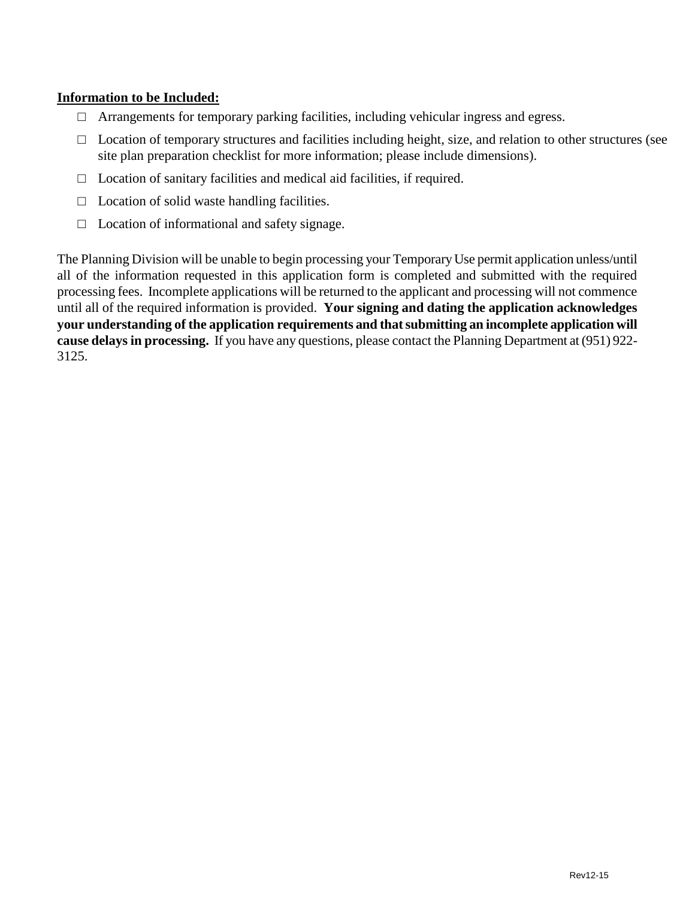#### **Information to be Included:**

- $\Box$  Arrangements for temporary parking facilities, including vehicular ingress and egress.
- $\Box$  Location of temporary structures and facilities including height, size, and relation to other structures (see site plan preparation checklist for more information; please include dimensions).
- $\Box$  Location of sanitary facilities and medical aid facilities, if required.
- $\Box$  Location of solid waste handling facilities.
- $\Box$  Location of informational and safety signage.

The Planning Division will be unable to begin processing your Temporary Use permit application unless/until all of the information requested in this application form is completed and submitted with the required processing fees. Incomplete applications will be returned to the applicant and processing will not commence until all of the required information is provided. **Your signing and dating the application acknowledges your understanding of the application requirements and that submitting an incomplete application will cause delays in processing.** If you have any questions, please contact the Planning Department at (951) 922- 3125.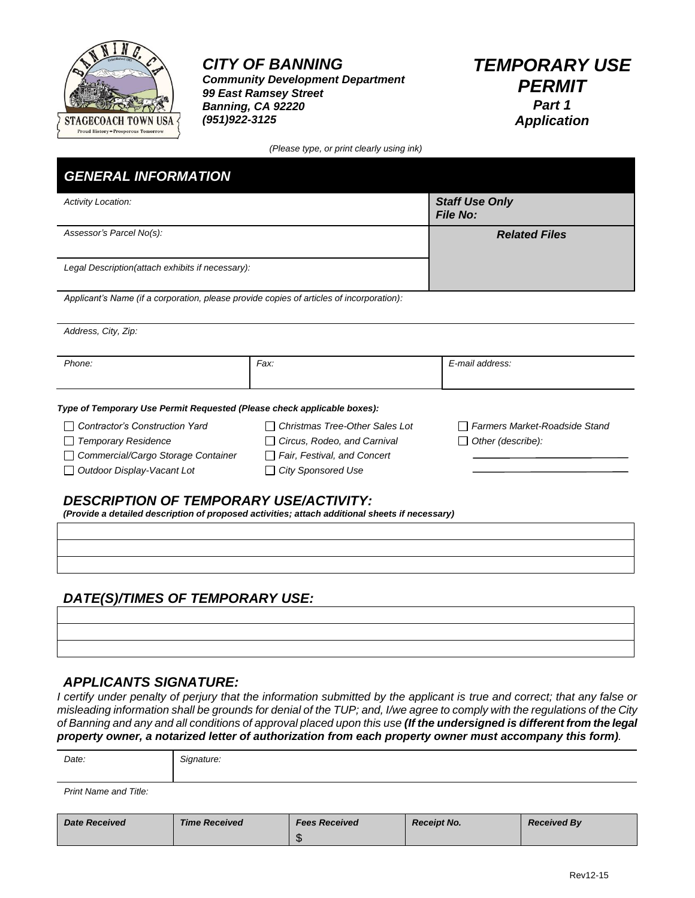

*Community Development Department 99 East Ramsey Street Banning, CA 92220 (951)922-3125*

*TEMPORARY USE PERMIT Part 1 Application*

*(Please type, or print clearly using ink)*

| <b>Activity Location:</b>                                                                                                                       |                                | <b>Staff Use Only</b><br><b>File No:</b> |
|-------------------------------------------------------------------------------------------------------------------------------------------------|--------------------------------|------------------------------------------|
| Assessor's Parcel No(s):                                                                                                                        |                                | <b>Related Files</b>                     |
| Legal Description(attach exhibits if necessary):                                                                                                |                                |                                          |
| Applicant's Name (if a corporation, please provide copies of articles of incorporation):                                                        |                                |                                          |
| Address, City, Zip:                                                                                                                             |                                |                                          |
| Phone:                                                                                                                                          | Fax:                           | E-mail address:                          |
| Type of Temporary Use Permit Requested (Please check applicable boxes):                                                                         |                                |                                          |
| Contractor's Construction Yard                                                                                                                  | Christmas Tree-Other Sales Lot | Farmers Market-Roadside Stand            |
| <b>Temporary Residence</b>                                                                                                                      | Circus, Rodeo, and Carnival    | Other (describe):                        |
| Commercial/Cargo Storage Container                                                                                                              | Fair, Festival, and Concert    |                                          |
| Outdoor Display-Vacant Lot                                                                                                                      | <b>City Sponsored Use</b>      |                                          |
| <b>DESCRIPTION OF TEMPORARY USE/ACTIVITY:</b><br>(Provide a detailed description of proposed activities; attach additional sheets if necessary) |                                |                                          |
|                                                                                                                                                 |                                |                                          |
|                                                                                                                                                 |                                |                                          |

### *DATE(S)/TIMES OF TEMPORARY USE:*

#### *APPLICANTS SIGNATURE:*

*I certify under penalty of perjury that the information submitted by the applicant is true and correct; that any false or misleading information shall be grounds for denial of the TUP; and, I/we agree to comply with the regulations of the City of Banning and any and all conditions of approval placed upon this use (If the undersigned is different from the legal property owner, a notarized letter of authorization from each property owner must accompany this form).*

| <b>Date Received</b>  | <b>Time Received</b> | <b>Fees Received</b> | <b>Receipt No.</b> | <b>Received By</b> |
|-----------------------|----------------------|----------------------|--------------------|--------------------|
| Print Name and Title: |                      |                      |                    |                    |
| Date:                 | Signature:           |                      |                    |                    |

\$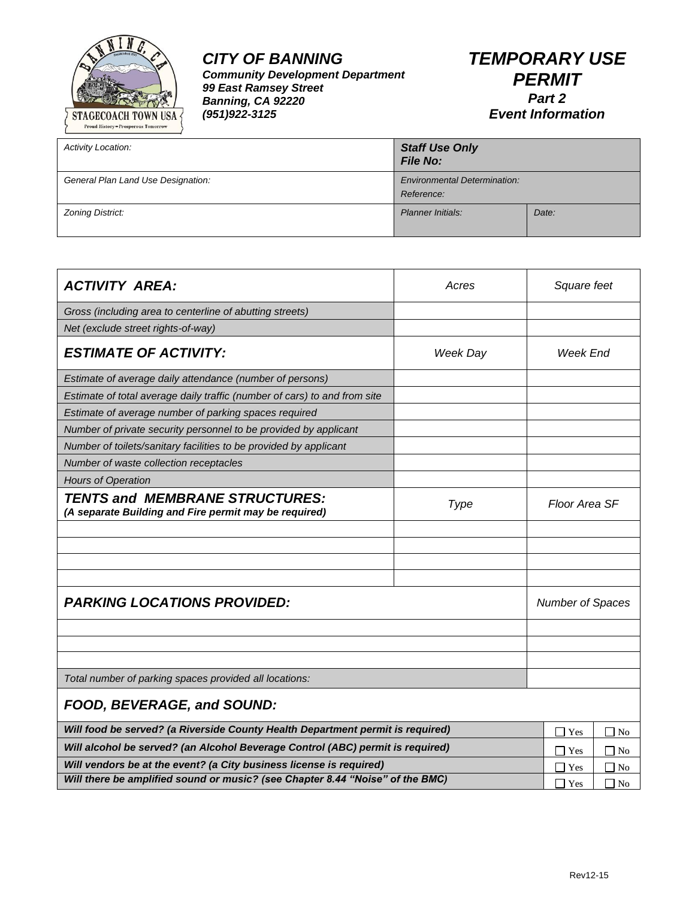

*Community Development Department 99 East Ramsey Street Banning, CA 92220 (951)922-3125*

| <b>Activity Location:</b>          | <b>Staff Use Only</b><br><b>File No:</b>          |       |
|------------------------------------|---------------------------------------------------|-------|
| General Plan Land Use Designation: | <b>Environmental Determination:</b><br>Reference: |       |
| Zoning District:                   | <b>Planner Initials:</b>                          | Date: |

| <b>ACTIVITY AREA:</b>                                                                          | Acres                                     | Square feet                           |
|------------------------------------------------------------------------------------------------|-------------------------------------------|---------------------------------------|
| Gross (including area to centerline of abutting streets)                                       |                                           |                                       |
| Net (exclude street rights-of-way)                                                             |                                           |                                       |
| <b>ESTIMATE OF ACTIVITY:</b>                                                                   | Week Day                                  | Week End                              |
| Estimate of average daily attendance (number of persons)                                       |                                           |                                       |
| Estimate of total average daily traffic (number of cars) to and from site                      |                                           |                                       |
| Estimate of average number of parking spaces required                                          |                                           |                                       |
| Number of private security personnel to be provided by applicant                               |                                           |                                       |
| Number of toilets/sanitary facilities to be provided by applicant                              |                                           |                                       |
| Number of waste collection receptacles                                                         |                                           |                                       |
| <b>Hours of Operation</b>                                                                      |                                           |                                       |
| <b>TENTS and MEMBRANE STRUCTURES:</b><br>(A separate Building and Fire permit may be required) | Type                                      | Floor Area SF                         |
|                                                                                                |                                           |                                       |
|                                                                                                |                                           |                                       |
|                                                                                                |                                           |                                       |
|                                                                                                |                                           |                                       |
| <b>PARKING LOCATIONS PROVIDED:</b>                                                             |                                           | <b>Number of Spaces</b>               |
|                                                                                                |                                           |                                       |
|                                                                                                |                                           |                                       |
|                                                                                                |                                           |                                       |
| Total number of parking spaces provided all locations:                                         |                                           |                                       |
| FOOD, BEVERAGE, and SOUND:                                                                     |                                           |                                       |
| Will food be served? (a Riverside County Health Department permit is required)                 |                                           | $\overline{\phantom{a}}$<br>Yes<br>No |
| Will alcohol be served? (an Alcohol Beverage Control (ABC) permit is required)                 |                                           | No<br>$\mathbf{Yes}$                  |
| Will vendors be at the event? (a City business license is required)                            |                                           | <b>Yes</b><br>No                      |
| Will there be amplified sound or music? (see Chapter 8.44 "Noise" of the BMC)                  | $\Box$ Yes<br>$\overline{\phantom{a}}$ No |                                       |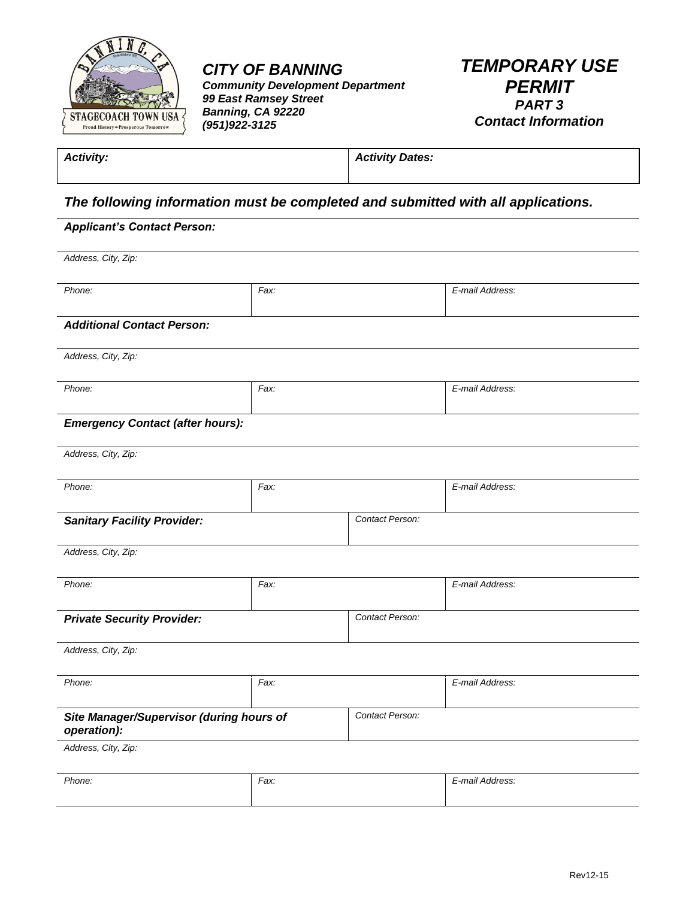

*Community Development Department 99 East Ramsey Street Banning, CA 92220 (951)922-3125*

*TEMPORARY USE PERMIT PART 3 Contact Information*

*Activity: Activity Dates:*

### *The following information must be completed and submitted with all applications.*

#### *Applicant's Contact Person:*

*Address, City, Zip:*

| Phone: | Fax: | E-mail Address: |
|--------|------|-----------------|
|        |      |                 |

*Additional Contact Person:*

*Address, City, Zip:*

| Phone: | Fax: | E-mail Address: |
|--------|------|-----------------|
|        |      |                 |
| $\sim$ |      |                 |

#### *Emergency Contact (after hours):*

*Address, City, Zip:*

| Phone:                             | Fax: |                 | E-mail Address: |
|------------------------------------|------|-----------------|-----------------|
| <b>Sanitary Facility Provider:</b> |      | Contact Person: |                 |

*Address, City, Zip:*

| Phone:                            | Fax: |                 | E-mail Address: |
|-----------------------------------|------|-----------------|-----------------|
| <b>Private Security Provider:</b> |      | Contact Person: |                 |

*Address, City, Zip:*

| Phone:                                                  | Fax: |                 | E-mail Address: |
|---------------------------------------------------------|------|-----------------|-----------------|
| Site Manager/Supervisor (during hours of<br>operation): |      | Contact Person: |                 |

*Address, City, Zip:*

| Phone: | Fax: | $\cdot$ .<br>$\sim$<br>moil<br>$1.44$ 200 $-0.2$<br>…טשוויי.<br>-<br>. |
|--------|------|------------------------------------------------------------------------|
|        |      |                                                                        |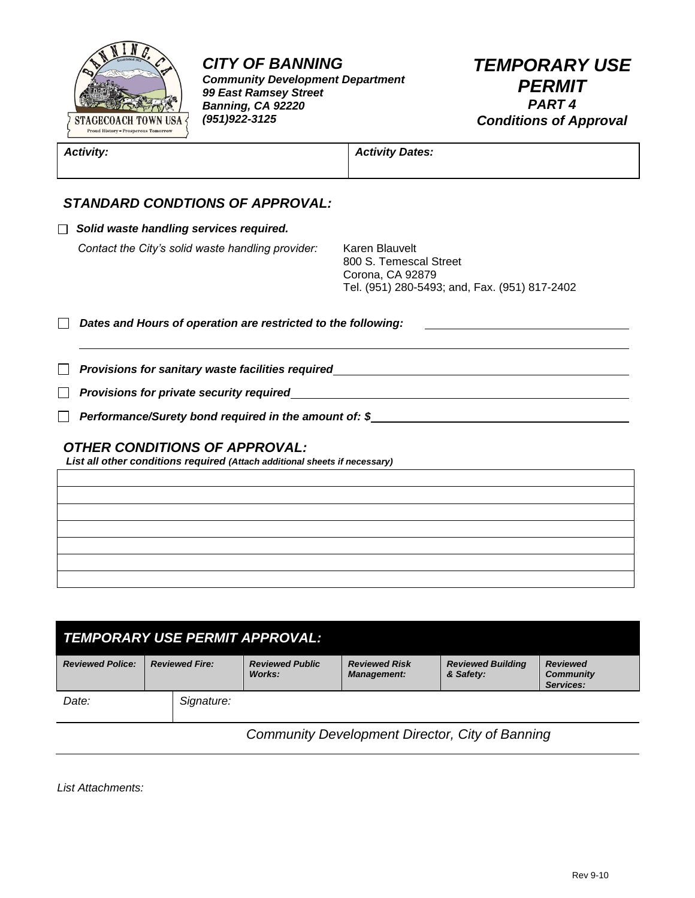

*Community Development Department 99 East Ramsey Street Banning, CA 92220 (951)922-3125*

## *TEMPORARY USE PERMIT PART 4 Conditions of Approval*

| <b>Activity:</b>                                                                                                   | <b>Activity Dates:</b>                                                                                        |
|--------------------------------------------------------------------------------------------------------------------|---------------------------------------------------------------------------------------------------------------|
| <b>STANDARD CONDTIONS OF APPROVAL:</b>                                                                             |                                                                                                               |
| Solid waste handling services required.                                                                            |                                                                                                               |
| Contact the City's solid waste handling provider:                                                                  | Karen Blauvelt<br>800 S. Temescal Street<br>Corona, CA 92879<br>Tel. (951) 280-5493; and, Fax. (951) 817-2402 |
| Dates and Hours of operation are restricted to the following:                                                      |                                                                                                               |
|                                                                                                                    | Provisions for sanitary waste facilities required                                                             |
|                                                                                                                    |                                                                                                               |
| Performance/Surety bond required in the amount of: \$                                                              |                                                                                                               |
| <b>OTHER CONDITIONS OF APPROVAL:</b><br>List all other conditions required (Attach additional sheets if necessary) |                                                                                                               |
|                                                                                                                    |                                                                                                               |
|                                                                                                                    |                                                                                                               |
|                                                                                                                    |                                                                                                               |
|                                                                                                                    |                                                                                                               |
|                                                                                                                    |                                                                                                               |
|                                                                                                                    |                                                                                                               |

| <b>TEMPORARY USE PERMIT APPROVAL:</b> |                       |            |                                  |                                            |                                       |                                                  |  |
|---------------------------------------|-----------------------|------------|----------------------------------|--------------------------------------------|---------------------------------------|--------------------------------------------------|--|
| <b>Reviewed Police:</b>               | <b>Reviewed Fire:</b> |            | <b>Reviewed Public</b><br>Works: | <b>Reviewed Risk</b><br><b>Management:</b> | <b>Reviewed Building</b><br>& Safety: | <b>Reviewed</b><br><b>Community</b><br>Services: |  |
| Date:                                 |                       | Signature: |                                  |                                            |                                       |                                                  |  |

 *Community Development Director, City of Banning*

*List Attachments:*